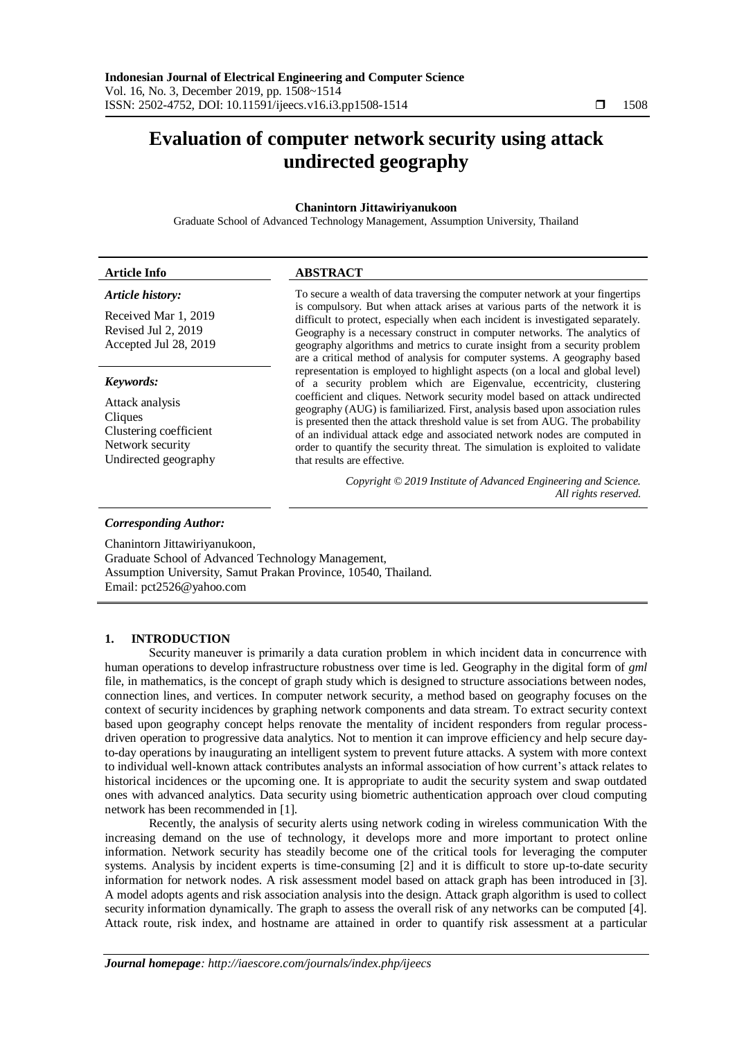# **Evaluation of computer network security using attack undirected geography**

# **Chanintorn Jittawiriyanukoon**

Graduate School of Advanced Technology Management, Assumption University, Thailand

| <b>Article Info</b>                                                                              | <b>ABSTRACT</b>                                                                                                                                                                                                                                                                                                                                                                                                                            |  |  |  |  |
|--------------------------------------------------------------------------------------------------|--------------------------------------------------------------------------------------------------------------------------------------------------------------------------------------------------------------------------------------------------------------------------------------------------------------------------------------------------------------------------------------------------------------------------------------------|--|--|--|--|
| Article history:                                                                                 | To secure a wealth of data traversing the computer network at your fingertips                                                                                                                                                                                                                                                                                                                                                              |  |  |  |  |
| Received Mar 1, 2019<br>Revised Jul 2, 2019<br>Accepted Jul 28, 2019                             | is compulsory. But when attack arises at various parts of the network it is<br>difficult to protect, especially when each incident is investigated separately.<br>Geography is a necessary construct in computer networks. The analytics of<br>geography algorithms and metrics to curate insight from a security problem<br>are a critical method of analysis for computer systems. A geography based                                     |  |  |  |  |
| Keywords:                                                                                        | representation is employed to highlight aspects (on a local and global level)<br>of a security problem which are Eigenvalue, eccentricity, clustering                                                                                                                                                                                                                                                                                      |  |  |  |  |
| Attack analysis<br>Cliques<br>Clustering coefficient<br>Network security<br>Undirected geography | coefficient and cliques. Network security model based on attack undirected<br>geography (AUG) is familiarized. First, analysis based upon association rules<br>is presented then the attack threshold value is set from AUG. The probability<br>of an individual attack edge and associated network nodes are computed in<br>order to quantify the security threat. The simulation is exploited to validate<br>that results are effective. |  |  |  |  |
|                                                                                                  | Copyright © 2019 Institute of Advanced Engineering and Science.<br>All rights reserved.                                                                                                                                                                                                                                                                                                                                                    |  |  |  |  |
|                                                                                                  |                                                                                                                                                                                                                                                                                                                                                                                                                                            |  |  |  |  |

#### *Corresponding Author:*

Chanintorn Jittawiriyanukoon,

Graduate School of Advanced Technology Management, Assumption University, Samut Prakan Province, 10540, Thailand. Email: pct2526@yahoo.com

#### **1. INTRODUCTION**

Security maneuver is primarily a data curation problem  in which incident data in concurrence with human operations to develop infrastructure robustness over time is led. Geography in the digital form of *gml* file, in mathematics, is the concept of graph study which is designed to structure associations between nodes, connection lines, and vertices. In computer network security, a method based on geography focuses on the context of security incidences by graphing network components and data stream. To extract security context based upon geography concept helps renovate the mentality of incident responders from regular processdriven operation to progressive data analytics. Not to mention it can improve efficiency and help secure dayto-day operations by inaugurating an intelligent system to prevent future attacks. A system with more context to individual well-known attack contributes analysts an informal association of how current's attack relates to historical incidences or the upcoming one. It is appropriate to audit the security system and swap outdated ones with advanced analytics. Data security using biometric authentication approach over cloud computing network has been recommended in [1].

Recently, the analysis of security alerts using network coding in wireless communication With the increasing demand on the use of technology, it develops more and more important to protect online information. Network security has steadily become one of the critical tools for leveraging the computer systems. Analysis by incident experts is time-consuming [2] and it is difficult to store up-to-date security information for network nodes. A risk assessment model based on attack graph has been introduced in [3]. A model adopts agents and risk association analysis into the design. Attack graph algorithm is used to collect security information dynamically. The graph to assess the overall risk of any networks can be computed [4]. Attack route, risk index, and hostname are attained in order to quantify risk assessment at a particular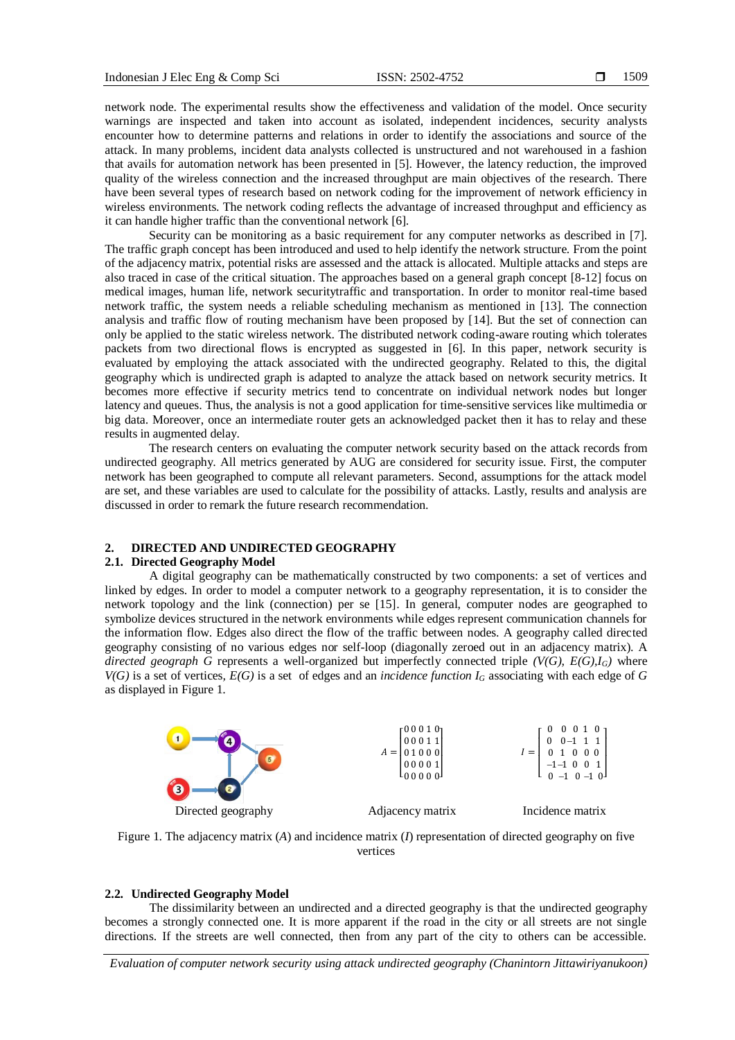network node. The experimental results show the effectiveness and validation of the model. Once security warnings are inspected and taken into account as isolated, independent incidences, security analysts encounter how to determine patterns and relations in order to identify the associations and source of the attack. In many problems, incident data analysts collected is unstructured and not warehoused in a fashion that avails for automation network has been presented in [5]. However, the latency reduction, the improved quality of the wireless connection and the increased throughput are main objectives of the research. There have been several types of research based on network coding for the improvement of network efficiency in wireless environments. The network coding reflects the advantage of increased throughput and efficiency as it can handle higher traffic than the conventional network [6].

Security can be monitoring as a basic requirement for any computer networks as described in [7]. The traffic graph concept has been introduced and used to help identify the network structure. From the point of the adjacency matrix, potential risks are assessed and the attack is allocated. Multiple attacks and steps are also traced in case of the critical situation. The approaches based on a general graph concept [8-12] focus on medical images, human life, network securitytraffic and transportation. In order to monitor real-time based network traffic, the system needs a reliable scheduling mechanism as mentioned in [13]. The connection analysis and traffic flow of routing mechanism have been proposed by [14]. But the set of connection can only be applied to the static wireless network. The distributed network coding-aware routing which tolerates packets from two directional flows is encrypted as suggested in [6]. In this paper, network security is evaluated by employing the attack associated with the undirected geography. Related to this, the digital geography which is undirected graph is adapted to analyze the attack based on network security metrics. It becomes more effective if security metrics tend to concentrate on individual network nodes but longer latency and queues. Thus, the analysis is not a good application for time-sensitive services like multimedia or big data. Moreover, once an intermediate router gets an acknowledged packet then it has to relay and these results in augmented delay.

The research centers on evaluating the computer network security based on the attack records from undirected geography. All metrics generated by AUG are considered for security issue. First, the computer network has been geographed to compute all relevant parameters. Second, assumptions for the attack model are set, and these variables are used to calculate for the possibility of attacks. Lastly, results and analysis are discussed in order to remark the future research recommendation.

# **2. DIRECTED AND UNDIRECTED GEOGRAPHY**

# **2.1. Directed Geography Model**

A digital geography can be mathematically constructed by two components: a set of vertices and linked by edges. In order to model a computer network to a geography representation, it is to consider the network topology and the link (connection) per se [15]. In general, computer nodes are geographed to symbolize devices structured in the network environments while edges represent communication channels for the information flow. Edges also direct the flow of the traffic between nodes. A geography called directed geography consisting of no various edges nor self-loop (diagonally zeroed out in an adjacency matrix). A *directed geograph G* represents a well-organized but imperfectly connected triple *(V(G), E(G),IG)* where  $V(G)$  is a set of vertices,  $E(G)$  is a set of edges and an *incidence function*  $I_G$  associating with each edge of G as displayed in Figure 1.



Figure 1. The adjacency matrix (*A*) and incidence matrix (*I*) representation of directed geography on five vertices

#### **2.2. Undirected Geography Model**

The dissimilarity between an undirected and a directed geography is that the undirected geography becomes a strongly connected one. It is more apparent if the road in the city or all streets are not single directions. If the streets are well connected, then from any part of the city to others can be accessible.

*Evaluation of computer network security using attack undirected geography (Chanintorn Jittawiriyanukoon)*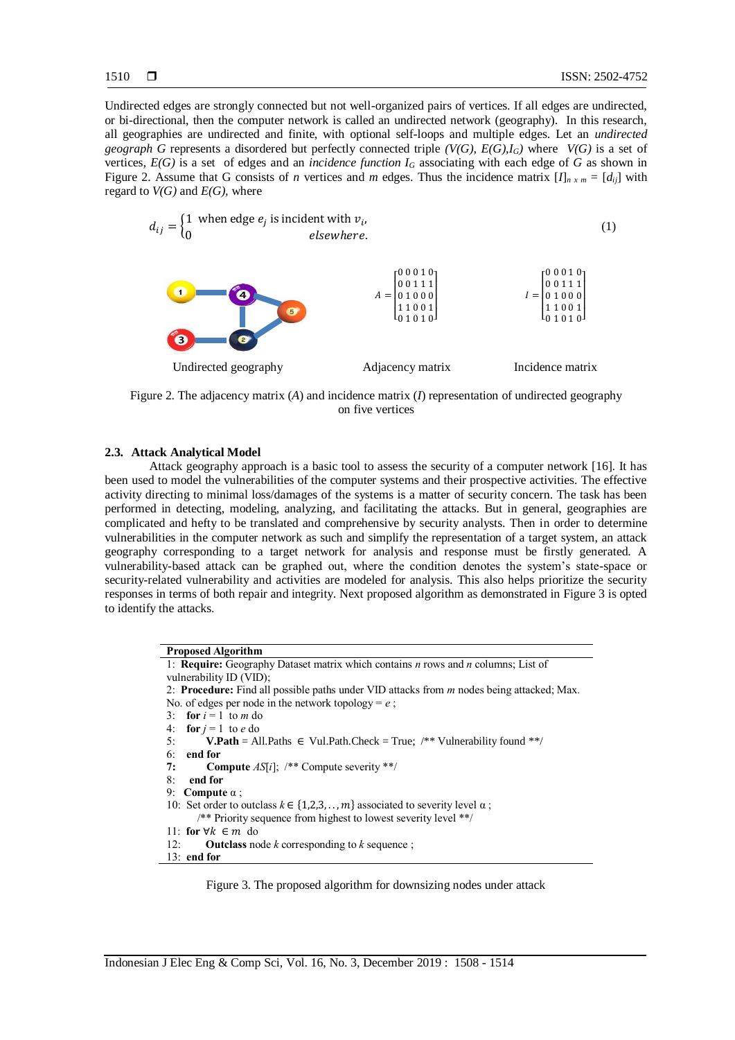Undirected edges are strongly connected but not well-organized pairs of vertices. If all edges are undirected, or bi-directional, then the computer network is called an undirected network (geography). In this research, all geographies are undirected and finite, with optional self-loops and multiple edges. Let an *undirected geograph G* represents a disordered but perfectly connected triple *(V(G), E(G),IG)* where *V(G)* is a set of vertices,  $E(G)$  is a set of edges and an *incidence function*  $I_G$  associating with each edge of  $G$  as shown in Figure 2. Assume that G consists of *n* vertices and *m* edges. Thus the incidence matrix  $[I]_{n \times m} = [d_{ij}]$  with regard to  $V(G)$  and  $E(G)$ , where



Figure 2. The adjacency matrix (*A*) and incidence matrix (*I*) representation of undirected geography on five vertices

#### **2.3. Attack Analytical Model**

Attack geography approach is a basic tool to assess the security of a computer network [16]. It has been used to model the vulnerabilities of the computer systems and their prospective activities. The effective activity directing to minimal loss/damages of the systems is a matter of security concern. The task has been performed in detecting, modeling, analyzing, and facilitating the attacks. But in general, geographies are complicated and hefty to be translated and comprehensive by security analysts. Then in order to determine vulnerabilities in the computer network as such and simplify the representation of a target system, an attack geography corresponding to a target network for analysis and response must be firstly generated. A vulnerability-based attack can be graphed out, where the condition denotes the system's state-space or security-related vulnerability and activities are modeled for analysis. This also helps prioritize the security responses in terms of both repair and integrity. Next proposed algorithm as demonstrated in Figure 3 is opted to identify the attacks.

> **Proposed Algorithm** 1: **Require:** Geography Dataset matrix which contains *n* rows and *n* columns; List of vulnerability ID (VID); 2: **Procedure:** Find all possible paths under VID attacks from *m* nodes being attacked; Max. No. of edges per node in the network topology =  $e$ ; 3: **for**  $i = 1$  to *m* do 4: **for**  $j = 1$  to  $e$  do 5: **V.Path** = All.Paths  $\in$  Vul.Path.Check = True; /\*\* Vulnerability found \*\*/ 6: **end for 7: Compute** *AS*[*i*]; /\*\* Compute severity \*\*/ 8: **end for** 9: **Compute** α ; 10: Set order to outclass  $k \in \{1, 2, 3, \dots, m\}$  associated to severity level  $\alpha$ ; /\*\* Priority sequence from highest to lowest severity level \*\*/ 11: **for** ∀ $k \in m$  do 12: **Outclass** node *k* corresponding to *k* sequence ; 13: **end for**

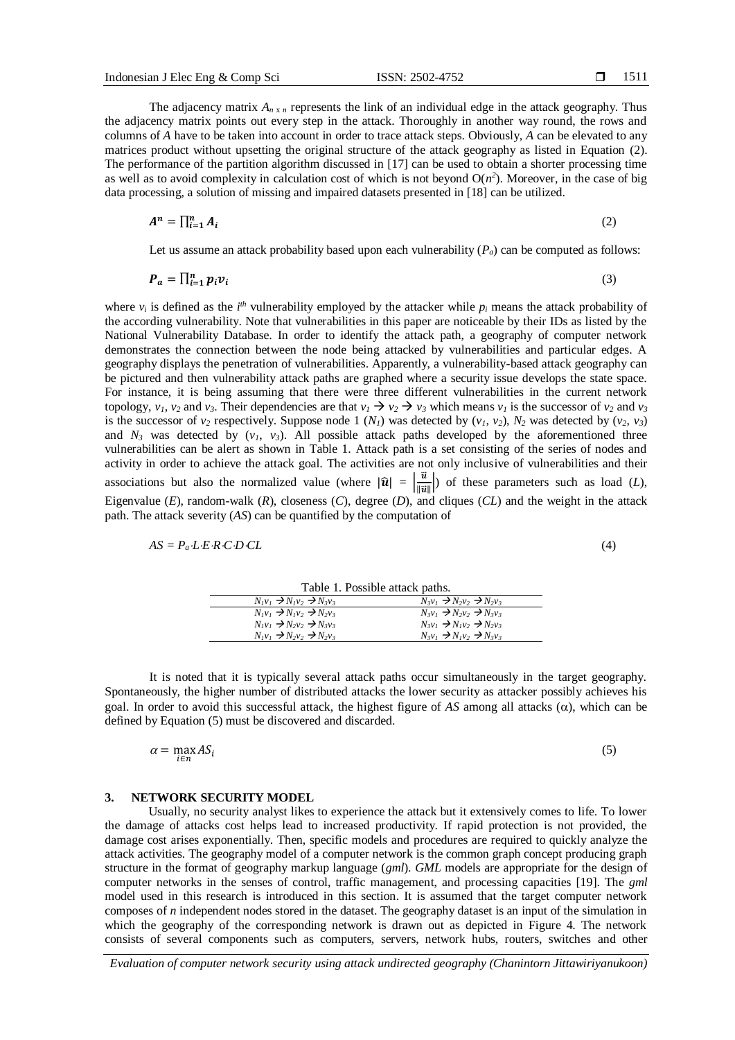The adjacency matrix  $A_{n \times n}$  represents the link of an individual edge in the attack geography. Thus the adjacency matrix points out every step in the attack. Thoroughly in another way round, the rows and columns of *A* have to be taken into account in order to trace attack steps. Obviously, *A* can be elevated to any matrices product without upsetting the original structure of the attack geography as listed in Equation (2). The performance of the partition algorithm discussed in [17] can be used to obtain a shorter processing time as well as to avoid complexity in calculation cost of which is not beyond  $O(n^2)$ . Moreover, in the case of big data processing, a solution of missing and impaired datasets presented in [18] can be utilized.

$$
A^n = \prod_{i=1}^n A_i \tag{2}
$$

Let us assume an attack probability based upon each vulnerability  $(P_a)$  can be computed as follows:

$$
\boldsymbol{P}_a = \prod_{i=1}^n p_i \boldsymbol{v}_i \tag{3}
$$

where  $v_i$  is defined as the  $i^{th}$  vulnerability employed by the attacker while  $p_i$  means the attack probability of the according vulnerability. Note that vulnerabilities in this paper are noticeable by their IDs as listed by the National Vulnerability Database. In order to identify the attack path, a geography of computer network demonstrates the connection between the node being attacked by vulnerabilities and particular edges. A geography displays the penetration of vulnerabilities. Apparently, a vulnerability-based attack geography can be pictured and then vulnerability attack paths are graphed where a security issue develops the state space. For instance, it is being assuming that there were three different vulnerabilities in the current network topology,  $v_1$ ,  $v_2$  and  $v_3$ . Their dependencies are that  $v_1 \rightarrow v_2 \rightarrow v_3$  which means  $v_1$  is the successor of  $v_2$  and  $v_3$ is the successor of  $v_2$  respectively. Suppose node 1 ( $N_1$ ) was detected by ( $v_1$ ,  $v_2$ ),  $N_2$  was detected by ( $v_2$ ,  $v_3$ ) and  $N_3$  was detected by  $(v_1, v_3)$ . All possible attack paths developed by the aforementioned three vulnerabilities can be alert as shown in Table 1. Attack path is a set consisting of the series of nodes and activity in order to achieve the attack goal. The activities are not only inclusive of vulnerabilities and their associations but also the normalized value (where  $|\hat{\mathbf{u}}| = \begin{bmatrix} \vec{u} \\ \frac{\vec{u}}{\sqrt{u}} \end{bmatrix}$  $\frac{u}{\Vert \vec{u} \Vert}$ ) of these parameters such as load (*L*), Eigenvalue (*E*), random-walk (*R*), closeness (*C*), degree (*D*), and cliques (*CL*) and the weight in the attack path. The attack severity (*AS*) can be quantified by the computation of

$$
AS = P_a \cdot L \cdot E \cdot R \cdot C \cdot D \cdot CL \tag{4}
$$

Table 1. Possible attack paths.  $N_1v_1 \rightarrow N_1v_2 \rightarrow N_2v_3$ <br>  $N_1v_1 \rightarrow N_1v_2 \rightarrow N_2v_3$ <br>  $N_3v_1 \rightarrow N_2v_2 \rightarrow N_2v_3$ <br>  $N_3v_1 \rightarrow N_2v_2 \rightarrow N_3v_3$  $N_1v_1 \rightarrow N_1v_2 \rightarrow N_2v_3$ <br>  $N_1v_1 \rightarrow N_2v_2 \rightarrow N_3v_3$ <br>  $N_3v_1 \rightarrow N_1v_2 \rightarrow N_2v_3$ <br>  $N_3v_1 \rightarrow N_1v_2 \rightarrow N_2v_3$  $N_3v_1 \rightarrow N_1v_2 \rightarrow N_2v_3$  $N_1v_1 \rightarrow N_2v_2 \rightarrow N_2v_3$ <br> $N_3v_1 \rightarrow N_1v_2 \rightarrow N_3v_3$ 

It is noted that it is typically several attack paths occur simultaneously in the target geography. Spontaneously, the higher number of distributed attacks the lower security as attacker possibly achieves his goal. In order to avoid this successful attack, the highest figure of AS among all attacks  $(\alpha)$ , which can be defined by Equation (5) must be discovered and discarded.

(5)

$$
\alpha = \max_{i \in n} AS_i
$$

#### **3. NETWORK SECURITY MODEL**

Usually, no security analyst likes to experience the attack but it extensively comes to life. To lower the damage of attacks cost helps lead to increased productivity. If rapid protection is not provided, the damage cost arises exponentially. Then, specific models and procedures are required to quickly analyze the attack activities. The geography model of a computer network is the common graph concept producing graph structure in the format of geography markup language (*gml*). *GML* models are appropriate for the design of computer networks in the senses of control, traffic management, and processing capacities [19]. The *gml* model used in this research is introduced in this section. It is assumed that the target computer network composes of *n* independent nodes stored in the dataset. The geography dataset is an input of the simulation in which the geography of the corresponding network is drawn out as depicted in Figure 4. The network consists of several components such as computers, servers, network hubs, routers, switches and other

*Evaluation of computer network security using attack undirected geography (Chanintorn Jittawiriyanukoon)*

1511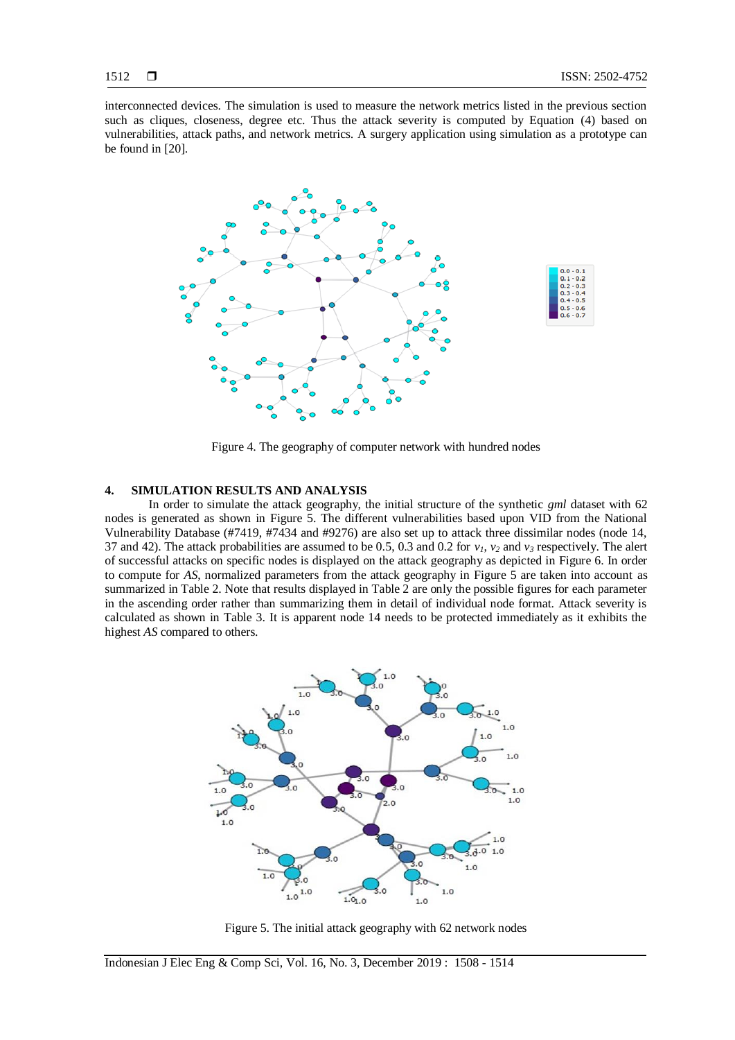interconnected devices. The simulation is used to measure the network metrics listed in the previous section such as cliques, closeness, degree etc. Thus the attack severity is computed by Equation (4) based on vulnerabilities, attack paths, and network metrics. A surgery application using simulation as a prototype can be found in [20].



Figure 4. The geography of computer network with hundred nodes

#### **4. SIMULATION RESULTS AND ANALYSIS**

In order to simulate the attack geography, the initial structure of the synthetic *gml* dataset with 62 nodes is generated as shown in Figure 5. The different vulnerabilities based upon VID from the National Vulnerability Database (#7419, #7434 and #9276) are also set up to attack three dissimilar nodes (node 14, 37 and 42). The attack probabilities are assumed to be 0.5, 0.3 and 0.2 for *v1*, *v<sup>2</sup>* and *v<sup>3</sup>* respectively. The alert of successful attacks on specific nodes is displayed on the attack geography as depicted in Figure 6. In order to compute for *AS*, normalized parameters from the attack geography in Figure 5 are taken into account as summarized in Table 2. Note that results displayed in Table 2 are only the possible figures for each parameter in the ascending order rather than summarizing them in detail of individual node format. Attack severity is calculated as shown in Table 3. It is apparent node 14 needs to be protected immediately as it exhibits the highest *AS* compared to others.



Figure 5. The initial attack geography with 62 network nodes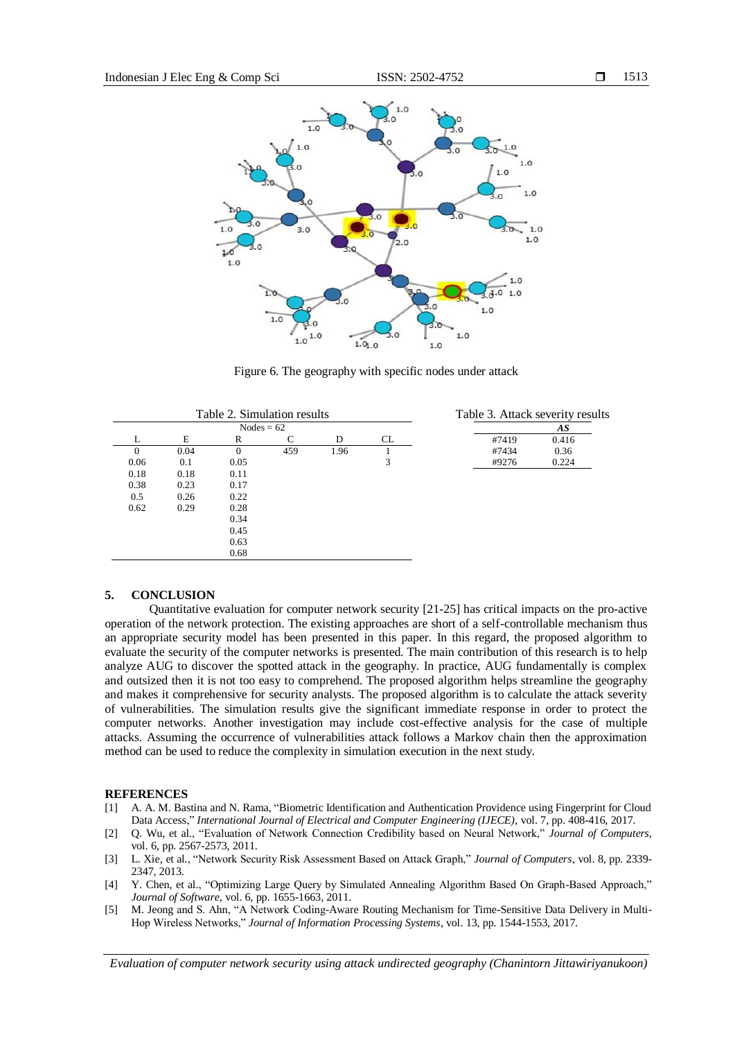

Figure 6. The geography with specific nodes under attack

| Table 2. Simulation results |      |          |     |      | Table 3. Attack severity results |       |       |
|-----------------------------|------|----------|-----|------|----------------------------------|-------|-------|
| Nodes = $62$                |      |          |     |      |                                  | AS    |       |
|                             | E    | R        |     | D    | CL.                              | #7419 | 0.416 |
| $\Omega$                    | 0.04 | $\Omega$ | 459 | 1.96 |                                  | #7434 | 0.36  |
| 0.06                        | 0.1  | 0.05     |     |      | 3                                | #9276 | 0.224 |
| 0.18                        | 0.18 | 0.11     |     |      |                                  |       |       |
| 0.38                        | 0.23 | 0.17     |     |      |                                  |       |       |
| 0.5                         | 0.26 | 0.22     |     |      |                                  |       |       |
| 0.62                        | 0.29 | 0.28     |     |      |                                  |       |       |
|                             |      | 0.34     |     |      |                                  |       |       |
|                             |      | 0.45     |     |      |                                  |       |       |
|                             |      | 0.63     |     |      |                                  |       |       |
|                             |      | 0.68     |     |      |                                  |       |       |

# **5. CONCLUSION**

Quantitative evaluation for computer network security [21-25] has critical impacts on the pro-active operation of the network protection. The existing approaches are short of a self-controllable mechanism thus an appropriate security model has been presented in this paper. In this regard, the proposed algorithm to evaluate the security of the computer networks is presented. The main contribution of this research is to help analyze AUG to discover the spotted attack in the geography. In practice, AUG fundamentally is complex and outsized then it is not too easy to comprehend. The proposed algorithm helps streamline the geography and makes it comprehensive for security analysts. The proposed algorithm is to calculate the attack severity of vulnerabilities. The simulation results give the significant immediate response in order to protect the computer networks. Another investigation may include cost-effective analysis for the case of multiple attacks. Assuming the occurrence of vulnerabilities attack follows a Markov chain then the approximation method can be used to reduce the complexity in simulation execution in the next study.

# **REFERENCES**

- [1] A. A. M. Bastina and N. Rama, "Biometric Identification and Authentication Providence using Fingerprint for Cloud Data Access," *International Journal of Electrical and Computer Engineering (IJECE)*, vol. 7, pp. 408-416, 2017.
- [2] Q. Wu, et al., "Evaluation of Network Connection Credibility based on Neural Network," *Journal of Computers*, vol. 6, pp. 2567-2573, 2011.
- [3] L. Xie, et al., "Network Security Risk Assessment Based on Attack Graph," *Journal of Computers*, vol. 8, pp. 2339- 2347, 2013.
- [4] Y. Chen, et al., "Optimizing Large Query by Simulated Annealing Algorithm Based On Graph-Based Approach," *Journal of Software*, vol. 6, pp. 1655-1663, 2011.
- [5] M. Jeong and S. Ahn, "A Network Coding-Aware Routing Mechanism for Time-Sensitive Data Delivery in Multi-Hop Wireless Networks," *Journal of Information Processing Systems*, vol. 13, pp. 1544-1553, 2017.

*Evaluation of computer network security using attack undirected geography (Chanintorn Jittawiriyanukoon)*